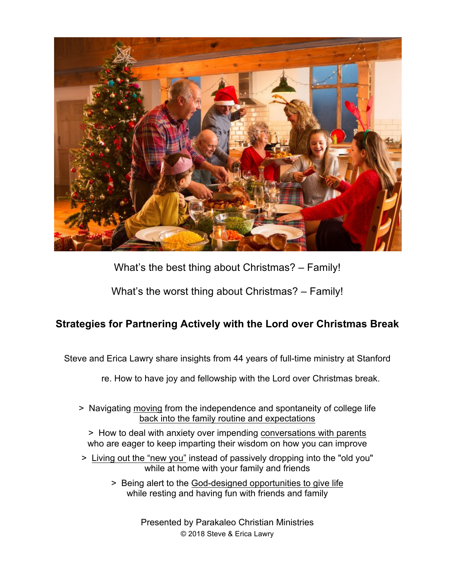

What's the best thing about Christmas? – Family!

What's the worst thing about Christmas? – Family!

# **Strategies for Partnering Actively with the Lord over Christmas Break**

Steve and Erica Lawry share insights from 44 years of full-time ministry at Stanford

re. How to have joy and fellowship with the Lord over Christmas break.

> Navigating moving from the independence and spontaneity of college life back into the family routine and expectations

> How to deal with anxiety over impending conversations with parents who are eager to keep imparting their wisdom on how you can improve

- > Living out the "new you" instead of passively dropping into the "old you" while at home with your family and friends
	- > Being alert to the God-designed opportunities to give life while resting and having fun with friends and family

Presented by Parakaleo Christian Ministries © 2018 Steve & Erica Lawry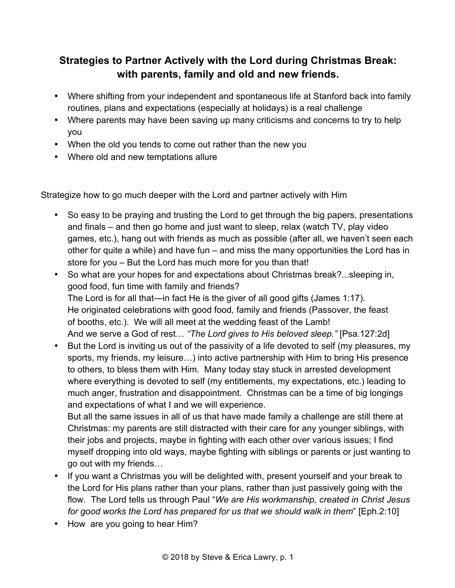## **Strategies to Partner Actively with the Lord during Christmas Break: with parents, family and old and new friends.**

- Where shifting from your independent and spontaneous life at Stanford back into family routines, plans and expectations (especially at holidays) is a real challenge
- Where parents may have been saving up many criticisms and concerns to try to help you
- When the old you tends to come out rather than the new you
- Where old and new temptations allure

Strategize how to go much deeper with the Lord and partner actively with Him

- So easy to be praying and trusting the Lord to get through the big papers, presentations and finals – and then go home and just want to sleep, relax (watch TV, play video games, etc.), hang out with friends as much as possible (after all, we haven't seen each other for quite a while) and have fun – and miss the many opportunities the Lord has in store for you – But the Lord has much more for you than that!
- So what are your hopes for and expectations about Christmas break?...sleeping in, good food, fun time with family and friends? The Lord is for all that—in fact He is the giver of all good gifts (James 1:17). He originated celebrations with good food, family and friends (Passover, the feast of booths, etc.). We will all meet at the wedding feast of the Lamb! And we serve a God of rest… *"The Lord gives to His beloved sleep."* [Psa.127:2d]
- But the Lord is inviting us out of the passivity of a life devoted to self (my pleasures, my sports, my friends, my leisure…) into active partnership with Him to bring His presence to others, to bless them with Him. Many today stay stuck in arrested development where everything is devoted to self (my entitlements, my expectations, etc.) leading to much anger, frustration and disappointment. Christmas can be a time of big longings and expectations of what I and we will experience.

But all the same issues in all of us that have made family a challenge are still there at Christmas: my parents are still distracted with their care for any younger siblings, with their jobs and projects, maybe in fighting with each other over various issues; I find myself dropping into old ways, maybe fighting with siblings or parents or just wanting to go out with my friends…

- If you want a Christmas you will be delighted with, present yourself and your break to the Lord for His plans rather than your plans, rather than just passively going with the flow. The Lord tells us through Paul "*We are His workmanship, created in Christ Jesus for good works the Lord has prepared for us that we should walk in them*" [Eph.2:10]
- How are you going to hear Him?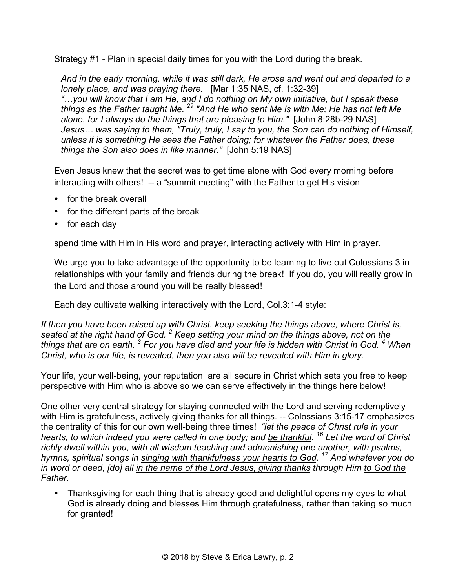#### Strategy #1 - Plan in special daily times for you with the Lord during the break.

*And in the early morning, while it was still dark, He arose and went out and departed to a lonely place, and was praying there.* [Mar 1:35 NAS, cf. 1:32-39] *"…you will know that I am He, and I do nothing on My own initiative, but I speak these things as the Father taught Me. 29 "And He who sent Me is with Me; He has not left Me alone, for I always do the things that are pleasing to Him."* [John 8:28b-29 NAS] *Jesus… was saying to them, "Truly, truly, I say to you, the Son can do nothing of Himself, unless it is something He sees the Father doing; for whatever the Father does, these things the Son also does in like manner."* [John 5:19 NAS]

Even Jesus knew that the secret was to get time alone with God every morning before interacting with others! -- a "summit meeting" with the Father to get His vision

- for the break overall
- for the different parts of the break
- for each day

spend time with Him in His word and prayer, interacting actively with Him in prayer.

We urge you to take advantage of the opportunity to be learning to live out Colossians 3 in relationships with your family and friends during the break! If you do, you will really grow in the Lord and those around you will be really blessed!

Each day cultivate walking interactively with the Lord, Col.3:1-4 style:

*If then you have been raised up with Christ, keep seeking the things above, where Christ is, seated at the right hand of God. 2 Keep setting your mind on the things above, not on the things that are on earth. 3 For you have died and your life is hidden with Christ in God. 4 When Christ, who is our life, is revealed, then you also will be revealed with Him in glory.*

Your life, your well-being, your reputation are all secure in Christ which sets you free to keep perspective with Him who is above so we can serve effectively in the things here below!

One other very central strategy for staying connected with the Lord and serving redemptively with Him is gratefulness, actively giving thanks for all things. -- Colossians 3:15-17 emphasizes the centrality of this for our own well-being three times! *"let the peace of Christ rule in your hearts, to which indeed you were called in one body; and be thankful. 16 Let the word of Christ richly dwell within you, with all wisdom teaching and admonishing one another, with psalms, hymns, spiritual songs in singing with thankfulness your hearts to God. 17 And whatever you do in word or deed, [do] all in the name of the Lord Jesus, giving thanks through Him to God the Father.*

• Thanksgiving for each thing that is already good and delightful opens my eyes to what God is already doing and blesses Him through gratefulness, rather than taking so much for granted!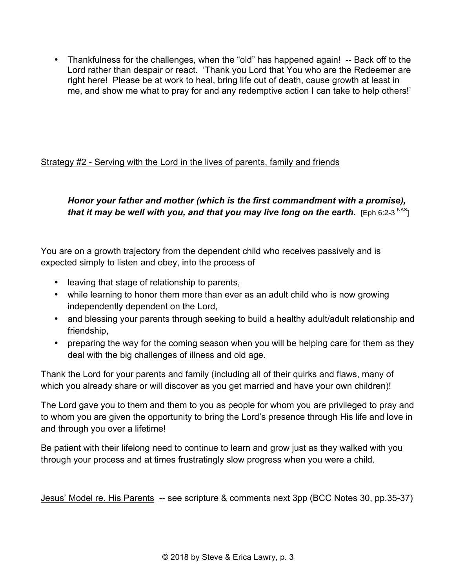• Thankfulness for the challenges, when the "old" has happened again! -- Back off to the Lord rather than despair or react. 'Thank you Lord that You who are the Redeemer are right here! Please be at work to heal, bring life out of death, cause growth at least in me, and show me what to pray for and any redemptive action I can take to help others!'

## Strategy #2 - Serving with the Lord in the lives of parents, family and friends

### *Honor your father and mother (which is the first commandment with a promise), that it may be well with you, and that you may live long on the earth.*  $[Eph 6:2-3]^{NAS}$

You are on a growth trajectory from the dependent child who receives passively and is expected simply to listen and obey, into the process of

- leaving that stage of relationship to parents,
- while learning to honor them more than ever as an adult child who is now growing independently dependent on the Lord,
- and blessing your parents through seeking to build a healthy adult/adult relationship and friendship,
- preparing the way for the coming season when you will be helping care for them as they deal with the big challenges of illness and old age.

Thank the Lord for your parents and family (including all of their quirks and flaws, many of which you already share or will discover as you get married and have your own children)!

The Lord gave you to them and them to you as people for whom you are privileged to pray and to whom you are given the opportunity to bring the Lord's presence through His life and love in and through you over a lifetime!

Be patient with their lifelong need to continue to learn and grow just as they walked with you through your process and at times frustratingly slow progress when you were a child.

Jesus' Model re. His Parents -- see scripture & comments next 3pp (BCC Notes 30, pp.35-37)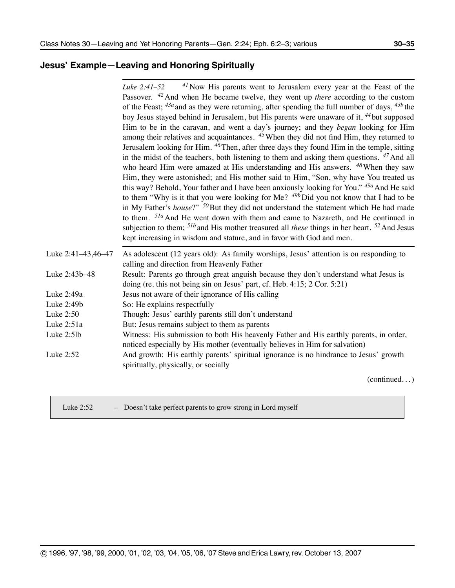#### **Jesus' Example—Leaving and Honoring Spiritually**

|                    | $^{41}$ Now His parents went to Jerusalem every year at the Feast of the<br>Luke $2:41-52$            |
|--------------------|-------------------------------------------------------------------------------------------------------|
|                    | Passover. <sup>42</sup> And when He became twelve, they went up there according to the custom         |
|                    | of the Feast; $43a$ and as they were returning, after spending the full number of days, $43b$ the     |
|                    | boy Jesus stayed behind in Jerusalem, but His parents were unaware of it, <sup>44</sup> but supposed  |
|                    | Him to be in the caravan, and went a day's journey; and they began looking for Him                    |
|                    | among their relatives and acquaintances. <sup>45</sup> When they did not find Him, they returned to   |
|                    | Jerusalem looking for Him. <sup>46</sup> Then, after three days they found Him in the temple, sitting |
|                    | in the midst of the teachers, both listening to them and asking them questions. $47$ And all          |
|                    | who heard Him were amazed at His understanding and His answers. $48$ When they saw                    |
|                    | Him, they were astonished; and His mother said to Him, "Son, why have You treated us                  |
|                    | this way? Behold, Your father and I have been anxiously looking for You." <sup>49a</sup> And He said  |
|                    | to them "Why is it that you were looking for Me? $49b$ Did you not know that I had to be              |
|                    | in My Father's <i>house</i> ?" $50$ But they did not understand the statement which He had made       |
|                    | to them. <sup>51a</sup> And He went down with them and came to Nazareth, and He continued in          |
|                    | subjection to them; $51b$ and His mother treasured all these things in her heart. $52$ And Jesus      |
|                    | kept increasing in wisdom and stature, and in favor with God and men.                                 |
| Luke 2:41-43,46-47 | As adolescent (12 years old): As family worships, Jesus' attention is on responding to                |
|                    | calling and direction from Heavenly Father                                                            |
| Luke 2:43b-48      | Result: Parents go through great anguish because they don't understand what Jesus is                  |
|                    | doing (re. this not being sin on Jesus' part, cf. Heb. 4:15; 2 Cor. 5:21)                             |
| Luke 2:49a         | Jesus not aware of their ignorance of His calling                                                     |
| Luke 2:49b         | So: He explains respectfully                                                                          |
| Luke 2:50          | Though: Jesus' earthly parents still don't understand                                                 |
| Luke 2:51a         | But: Jesus remains subject to them as parents                                                         |
| Luke 2:5lb         | Witness: His submission to both His heavenly Father and His earthly parents, in order,                |
|                    | noticed especially by His mother (eventually believes in Him for salvation)                           |
| Luke 2:52          | And growth: His earthly parents' spiritual ignorance is no hindrance to Jesus' growth                 |
|                    | spiritually, physically, or socially                                                                  |
|                    | (conditional)                                                                                         |

(continued. . . )

| Luke $2:52$ | - Doesn't take perfect parents to grow strong in Lord myself |  |
|-------------|--------------------------------------------------------------|--|
|             |                                                              |  |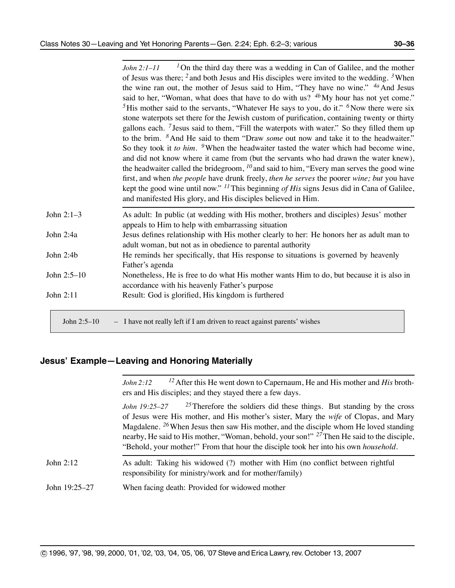|              | <sup>1</sup> On the third day there was a wedding in Can of Galilee, and the mother<br>John 2:1–11              |
|--------------|-----------------------------------------------------------------------------------------------------------------|
|              | of Jesus was there; $^2$ and both Jesus and His disciples were invited to the wedding. $^3$ When                |
|              | the wine ran out, the mother of Jesus said to Him, "They have no wine." <sup>4a</sup> And Jesus                 |
|              | said to her, "Woman, what does that have to do with us? $4b$ My hour has not yet come."                         |
|              | <sup>5</sup> His mother said to the servants, "Whatever He says to you, do it." <sup>6</sup> Now there were six |
|              | stone waterpots set there for the Jewish custom of purification, containing twenty or thirty                    |
|              | gallons each. <sup>7</sup> Jesus said to them, "Fill the waterpots with water." So they filled them up          |
|              | to the brim. <sup>8</sup> And He said to them "Draw <i>some</i> out now and take it to the headwaiter."         |
|              | So they took it to him. <sup>9</sup> When the headwaiter tasted the water which had become wine,                |
|              |                                                                                                                 |
|              | and did not know where it came from (but the servants who had drawn the water knew),                            |
|              | the headwaiter called the bridegroom, $^{10}$ and said to him, "Every man serves the good wine                  |
|              | first, and when the people have drunk freely, then he serves the poorer wine; but you have                      |
|              | kept the good wine until now." $^{11}$ This beginning of His signs Jesus did in Cana of Galilee,                |
|              | and manifested His glory, and His disciples believed in Him.                                                    |
| John $2:1-3$ | As adult: In public (at wedding with His mother, brothers and disciples) Jesus' mother                          |
|              | appeals to Him to help with embarrassing situation                                                              |
| John 2:4a    | Jesus defines relationship with His mother clearly to her: He honors her as adult man to                        |
|              | adult woman, but not as in obedience to parental authority                                                      |
| John 2:4b    | He reminds her specifically, that His response to situations is governed by heavenly                            |
|              | Father's agenda                                                                                                 |
| John 2:5-10  | Nonetheless, He is free to do what His mother wants Him to do, but because it is also in                        |
|              | accordance with his heavenly Father's purpose                                                                   |
| John 2:11    | Result: God is glorified, His kingdom is furthered                                                              |
|              |                                                                                                                 |
|              |                                                                                                                 |

John 2:5–10 – I have not really left if I am driven to react against parents' wishes

#### **Jesus' Example—Leaving and Honoring Materially**

|               | $^{12}$ After this He went down to Capernaum, He and His mother and His broth-<br>John 2:12<br>ers and His disciples; and they stayed there a few days.                                                                                                                                                                                                                                                                                                                                         |
|---------------|-------------------------------------------------------------------------------------------------------------------------------------------------------------------------------------------------------------------------------------------------------------------------------------------------------------------------------------------------------------------------------------------------------------------------------------------------------------------------------------------------|
|               | $^{25}$ Therefore the soldiers did these things. But standing by the cross<br>John 19:25–27<br>of Jesus were His mother, and His mother's sister, Mary the wife of Clopas, and Mary<br>Magdalene. <sup>26</sup> When Jesus then saw His mother, and the disciple whom He loved standing<br>nearby, He said to His mother, "Woman, behold, your son!" <sup>27</sup> Then He said to the disciple,<br>"Behold, your mother!" From that hour the disciple took her into his own <i>household</i> . |
| John $2:12$   | As adult: Taking his widowed (?) mother with Him (no conflict between rightful<br>responsibility for ministry/work and for mother/family)                                                                                                                                                                                                                                                                                                                                                       |
| John 19:25–27 | When facing death: Provided for widowed mother                                                                                                                                                                                                                                                                                                                                                                                                                                                  |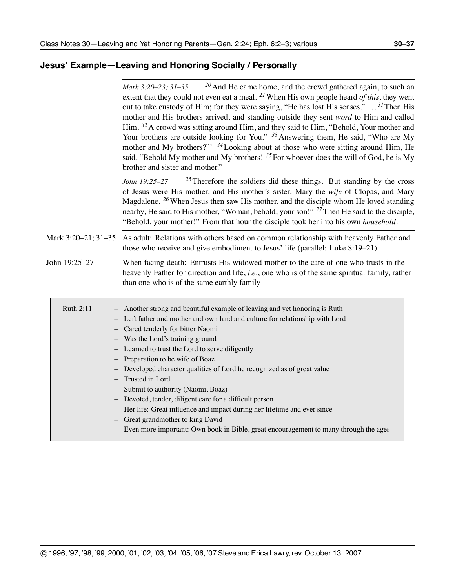### **Jesus' Example—Leaving and Honoring Socially / Personally**

|                     | $20$ And He came home, and the crowd gathered again, to such an<br>Mark 3:20-23; 31-35<br>extent that they could not even eat a meal. <sup>21</sup> When His own people heard of this, they went<br>out to take custody of Him; for they were saying, "He has lost His senses." $\dots$ <sup>31</sup> Then His<br>mother and His brothers arrived, and standing outside they sent word to Him and called<br>Him. <sup>32</sup> A crowd was sitting around Him, and they said to Him, "Behold, Your mother and<br>Your brothers are outside looking for You." $33$ Answering them, He said, "Who are My<br>mother and My brothers?" $34$ Looking about at those who were sitting around Him, He<br>said, "Behold My mother and My brothers! $^{35}$ For whoever does the will of God, he is My<br>brother and sister and mother." |
|---------------------|----------------------------------------------------------------------------------------------------------------------------------------------------------------------------------------------------------------------------------------------------------------------------------------------------------------------------------------------------------------------------------------------------------------------------------------------------------------------------------------------------------------------------------------------------------------------------------------------------------------------------------------------------------------------------------------------------------------------------------------------------------------------------------------------------------------------------------|
|                     | $^{25}$ Therefore the soldiers did these things. But standing by the cross<br>John 19:25-27<br>of Jesus were His mother, and His mother's sister, Mary the wife of Clopas, and Mary<br>Magdalene. <sup>26</sup> When Jesus then saw His mother, and the disciple whom He loved standing<br>nearby, He said to His mother, "Woman, behold, your son!" <sup>27</sup> Then He said to the disciple,<br>"Behold, your mother!" From that hour the disciple took her into his own household.                                                                                                                                                                                                                                                                                                                                          |
| Mark 3:20-21; 31-35 | As adult: Relations with others based on common relationship with heavenly Father and<br>those who receive and give embodiment to Jesus' life (parallel: Luke $8:19-21$ )                                                                                                                                                                                                                                                                                                                                                                                                                                                                                                                                                                                                                                                        |
| John 19:25-27       | When facing death: Entrusts His widowed mother to the care of one who trusts in the<br>heavenly Father for direction and life, <i>i.e.</i> , one who is of the same spiritual family, rather<br>than one who is of the same earthly family                                                                                                                                                                                                                                                                                                                                                                                                                                                                                                                                                                                       |
| Ruth 2:11           | - Another strong and beautiful example of leaving and yet honoring is Ruth<br>- Left father and mother and own land and culture for relationship with Lord<br>- Cared tenderly for bitter Naomi<br>- Was the Lord's training ground<br>- Learned to trust the Lord to serve diligently<br>- Preparation to be wife of Boaz<br>- Developed character qualities of Lord he recognized as of great value<br>- Trusted in Lord<br>Submit to authority (Naomi, Boaz)<br>- Devoted, tender, diligent care for a difficult person<br>Her life: Great influence and impact during her lifetime and ever since<br>- Great grandmother to king David<br>- Even more important: Own book in Bible, great encouragement to many through the ages                                                                                             |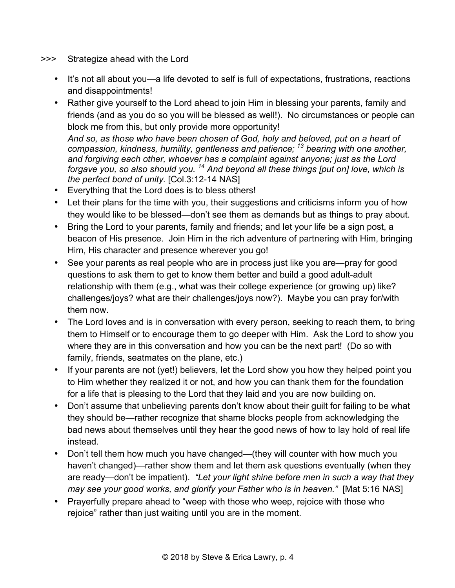- >>> Strategize ahead with the Lord
	- It's not all about you—a life devoted to self is full of expectations, frustrations, reactions and disappointments!
	- Rather give yourself to the Lord ahead to join Him in blessing your parents, family and friends (and as you do so you will be blessed as well!). No circumstances or people can block me from this, but only provide more opportunity! *And so, as those who have been chosen of God, holy and beloved, put on a heart of compassion, kindness, humility, gentleness and patience; 13 bearing with one another, and forgiving each other, whoever has a complaint against anyone; just as the Lord forgave you, so also should you. 14 And beyond all these things [put on] love, which is the perfect bond of unity.* [Col.3:12-14 NAS]
	- Everything that the Lord does is to bless others!
	- Let their plans for the time with you, their suggestions and criticisms inform you of how they would like to be blessed—don't see them as demands but as things to pray about.
	- Bring the Lord to your parents, family and friends; and let your life be a sign post, a beacon of His presence. Join Him in the rich adventure of partnering with Him, bringing Him, His character and presence wherever you go!
	- See your parents as real people who are in process just like you are—pray for good questions to ask them to get to know them better and build a good adult-adult relationship with them (e.g., what was their college experience (or growing up) like? challenges/joys? what are their challenges/joys now?). Maybe you can pray for/with them now.
	- The Lord loves and is in conversation with every person, seeking to reach them, to bring them to Himself or to encourage them to go deeper with Him. Ask the Lord to show you where they are in this conversation and how you can be the next part! (Do so with family, friends, seatmates on the plane, etc.)
	- If your parents are not (yet!) believers, let the Lord show you how they helped point you to Him whether they realized it or not, and how you can thank them for the foundation for a life that is pleasing to the Lord that they laid and you are now building on.
	- Don't assume that unbelieving parents don't know about their guilt for failing to be what they should be—rather recognize that shame blocks people from acknowledging the bad news about themselves until they hear the good news of how to lay hold of real life instead.
	- Don't tell them how much you have changed—(they will counter with how much you haven't changed)—rather show them and let them ask questions eventually (when they are ready—don't be impatient). *"Let your light shine before men in such a way that they may see your good works, and glorify your Father who is in heaven."* [Mat 5:16 NAS]
	- Prayerfully prepare ahead to "weep with those who weep, rejoice with those who rejoice" rather than just waiting until you are in the moment.